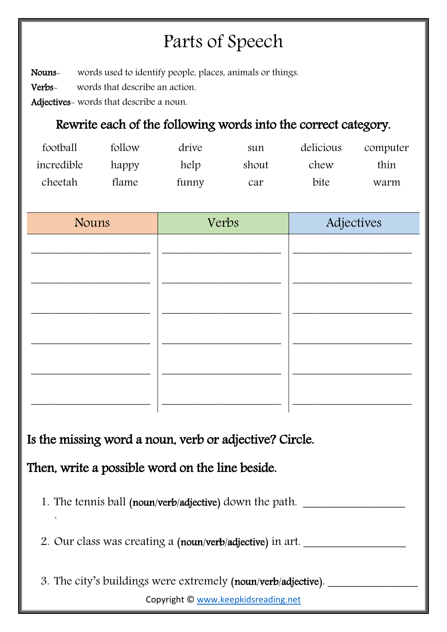# Parts of Speech

Nouns- words used to identify people, places, animals or things.

Verbs- words that describe an action.

Adjectives- words that describe a noun.

### Rewrite each of the following words into the correct category.

| football   | follow | drive | sun   | delicious | computer |
|------------|--------|-------|-------|-----------|----------|
| incredible | happy  | help  | shout | chew      | thin     |
| cheetah    | flame  | funny | car   | bite      | warm     |

| <b>Nouns</b> | Verbs | Adjectives |
|--------------|-------|------------|
|              |       |            |
|              |       |            |
|              |       |            |
|              |       |            |
|              |       |            |
|              |       |            |
|              |       |            |
|              |       |            |
|              |       |            |

Is the missing word a noun, verb or adjective? Circle.

Then, write a possible word on the line beside.

`

1. The tennis ball (noun/verb/adjective) down the path.

2. Our class was creating a (noun/verb/adjective) in art.

Copyright © [www.keepkidsreading.net](http://www.keepkidsreading.net/) 3. The city's buildings were extremely (noun/verb/adjective).